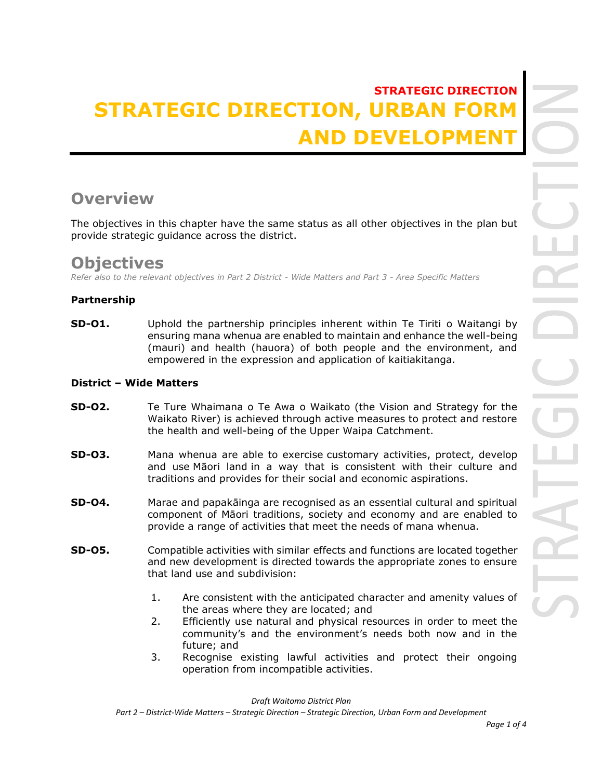# **STRATEGIC DIRECTION STRATEGIC DIRECTION, URBAN F AND DEVELOPMENT**

# **Overview**

The objectives in this chapter have the same status as all other objectives in the plan but provide strategic guidance across the district.

## **Objectives**

*Refer also to the relevant objectives in Part 2 District - Wide Matters and Part 3 - Area Specific Matters*

### **Partnership**

**SD-01.** Uphold the partnership principles inherent within Te Tiriti o Waitangi by ensuring mana whenua are enabled to maintain and enhance the well-being (mauri) and health (hauora) of both people and the environment, and empowered in the expression and application of kaitiakitanga.

### **District – Wide Matters**

- **SD-O2.** Te Ture Whaimana o Te Awa o Waikato (the Vision and Strategy for the Waikato River) is achieved through active measures to protect and restore the health and well-being of the Upper Waipa Catchment.
- **SD-O3.** Mana whenua are able to exercise customary activities, protect, develop and use Māori land in a way that is consistent with their culture and traditions and provides for their social and economic aspirations.
- **SD-O4.** Marae and papakāinga are recognised as an essential cultural and spiritual component of Māori traditions, society and economy and are enabled to provide a range of activities that meet the needs of mana whenua.
- **SD-O5.** Compatible activities with similar effects and functions are located together and new development is directed towards the appropriate zones to ensure that land use and subdivision:
	- 1. Are consistent with the anticipated character and amenity values of the areas where they are located; and
	- 2. Efficiently use natural and physical resources in order to meet the community's and the environment's needs both now and in the future; and
	- 3. Recognise existing lawful activities and protect their ongoing operation from incompatible activities.

*Draft Waitomo District Plan*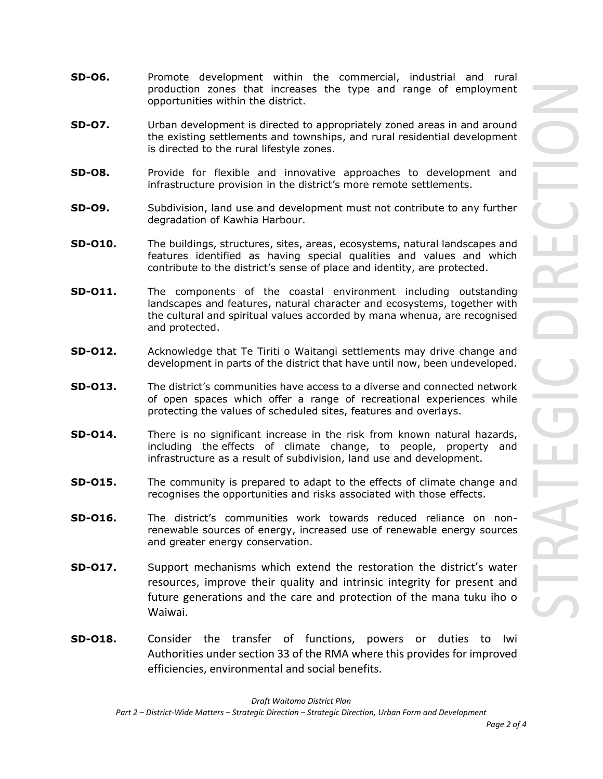- **SD-O6.** Promote development within the commercial, industrial and rural production zones that increases the type and range of employment opportunities within the district.
- **SD-O7.** Urban development is directed to appropriately zoned areas in and around the existing settlements and townships, and rural residential development is directed to the rural lifestyle zones.
- **SD-O8.** Provide for flexible and innovative approaches to development and infrastructure provision in the district's more remote settlements.
- **SD-O9.** Subdivision, land use and development must not contribute to any further degradation of Kawhia Harbour.
- **SD-O10.** The buildings, structures, sites, areas, ecosystems, natural landscapes and features identified as having special qualities and values and which contribute to the district's sense of place and identity, are protected.
- **SD-O11.** The components of the coastal environment including outstanding landscapes and features, natural character and ecosystems, together with the cultural and spiritual values accorded by mana whenua, are recognised and protected.
- **SD-O12.** Acknowledge that Te Tiriti o Waitangi settlements may drive change and development in parts of the district that have until now, been undeveloped.
- **SD-O13.** The district's communities have access to a diverse and connected network of open spaces which offer a range of recreational experiences while protecting the values of scheduled sites, features and overlays.
- **SD-O14.** There is no significant increase in the risk from known natural hazards, including the effects of climate change, to people, property and infrastructure as a result of subdivision, land use and development.
- **SD-015.** The community is prepared to adapt to the effects of climate change and recognises the opportunities and risks associated with those effects.
- **SD-O16.** The district's communities work towards reduced reliance on nonrenewable sources of energy, increased use of renewable energy sources and greater energy conservation.
- **SD-O17.** Support mechanisms which extend the restoration the district's water resources, improve their quality and intrinsic integrity for present and future generations and the care and protection of the mana tuku iho o Waiwai.
- **SD-O18.** Consider the transfer of functions, powers or duties to Iwi Authorities under section 33 of the RMA where this provides for improved efficiencies, environmental and social benefits.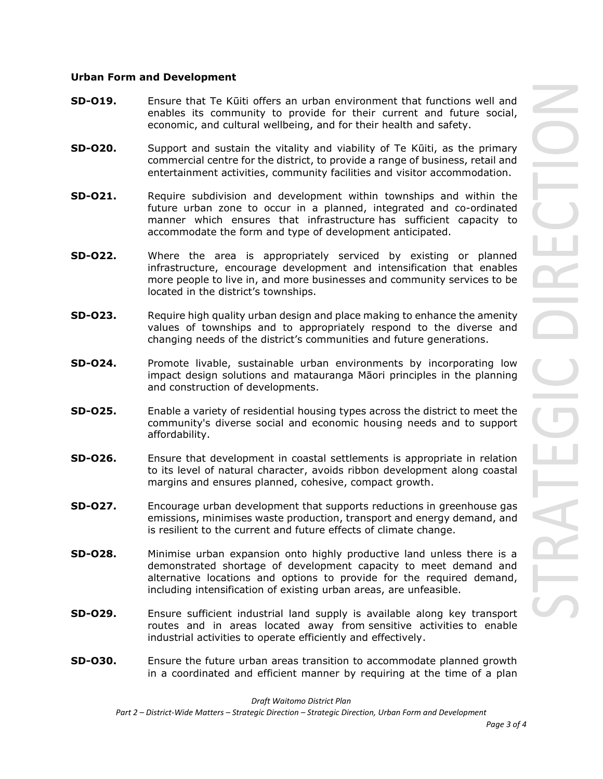#### **Urban Form and Development**

- **SD-O19.** Ensure that Te Kūiti offers an urban environment that functions well and enables its community to provide for their current and future social, economic, and cultural wellbeing, and for their health and safety.
- **SD-O20.** Support and sustain the vitality and viability of Te Kūiti, as the primary commercial centre for the district, to provide a range of business, retail and entertainment activities, community facilities and visitor accommodation.
- **SD-O21.** Require subdivision and development within townships and within the future urban zone to occur in a planned, integrated and co-ordinated manner which ensures that infrastructure has sufficient capacity to accommodate the form and type of development anticipated.
- **SD-O22.** Where the area is appropriately serviced by existing or planned infrastructure, encourage development and intensification that enables more people to live in, and more businesses and community services to be located in the district's townships.
- **SD-O23.** Require high quality urban design and place making to enhance the amenity values of townships and to appropriately respond to the diverse and changing needs of the district's communities and future generations.
- **SD-O24.** Promote livable, sustainable urban environments by incorporating low impact design solutions and matauranga Māori principles in the planning and construction of developments.
- **SD-O25.** Enable a variety of residential housing types across the district to meet the community's diverse social and economic housing needs and to support affordability.
- **SD-O26.** Ensure that development in coastal settlements is appropriate in relation to its level of natural character, avoids ribbon development along coastal margins and ensures planned, cohesive, compact growth.
- **SD-O27.** Encourage urban development that supports reductions in greenhouse gas emissions, minimises waste production, transport and energy demand, and is resilient to the current and future effects of climate change.
- **SD-O28.** Minimise urban expansion onto highly productive land unless there is a demonstrated shortage of development capacity to meet demand and alternative locations and options to provide for the required demand, including intensification of existing urban areas, are unfeasible.
- **SD-O29.** Ensure sufficient industrial land supply is available along key transport routes and in areas located away from sensitive activities to enable industrial activities to operate efficiently and effectively.
- **SD-O30.** Ensure the future urban areas transition to accommodate planned growth in a coordinated and efficient manner by requiring at the time of a plan

*Draft Waitomo District Plan*